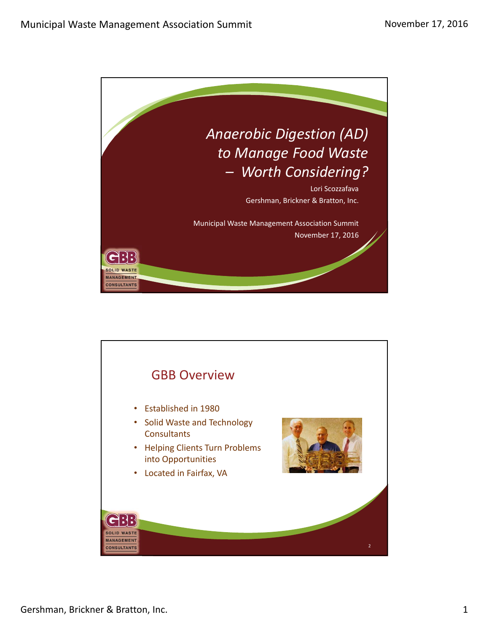

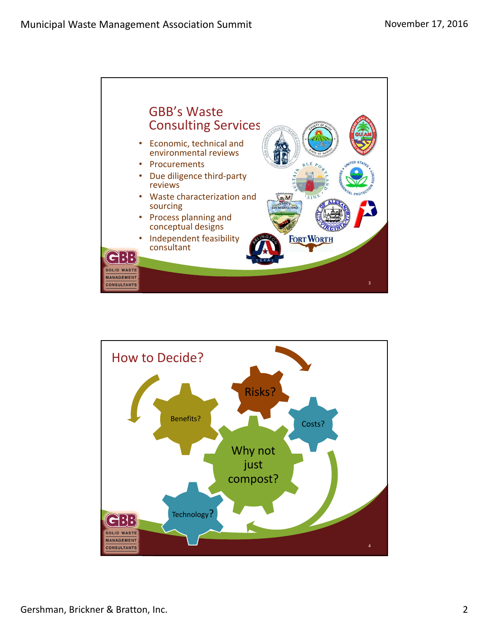

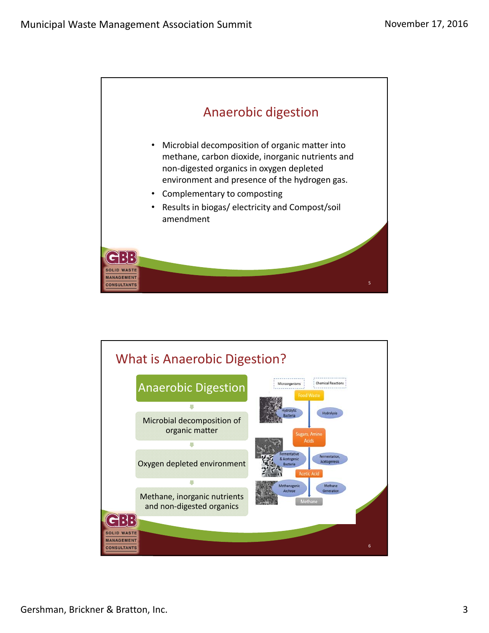

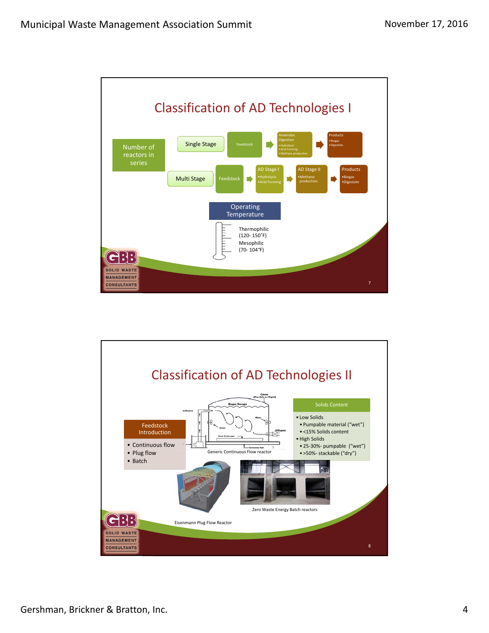

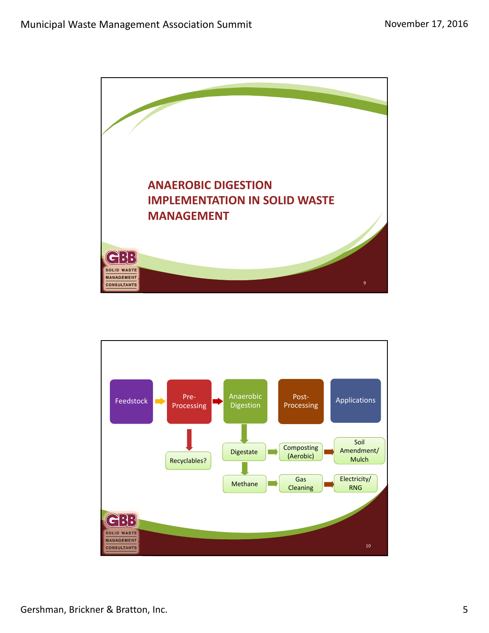

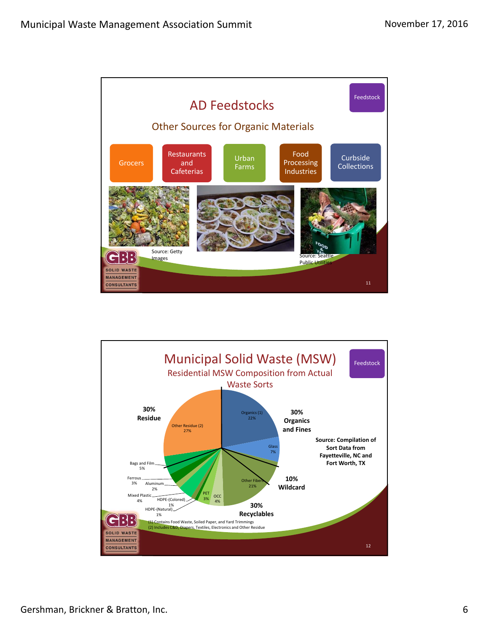

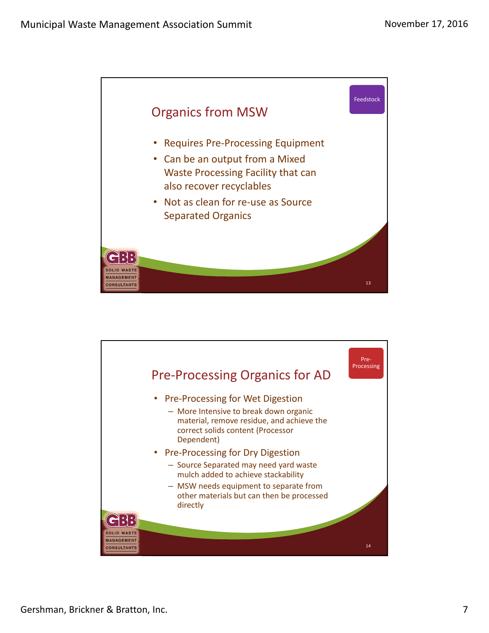

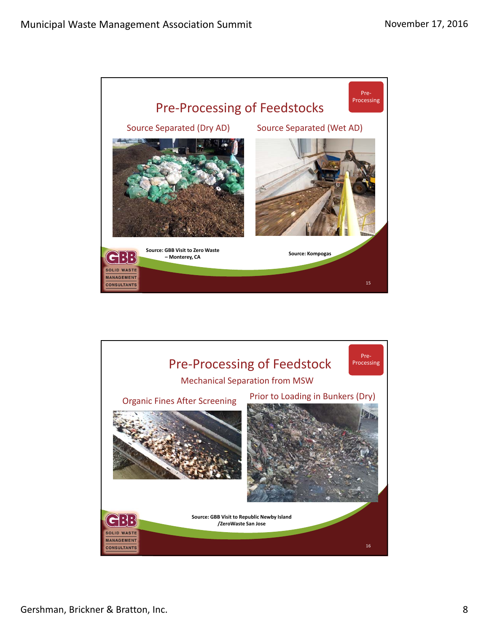

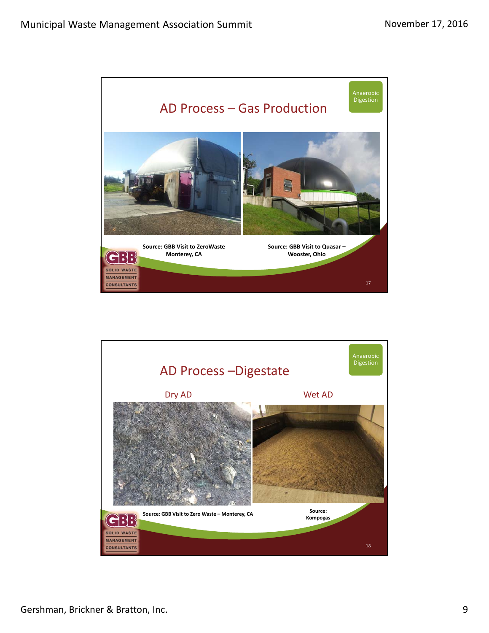

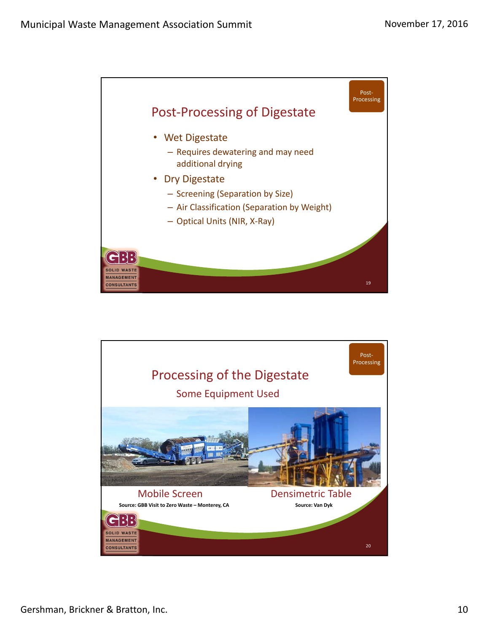

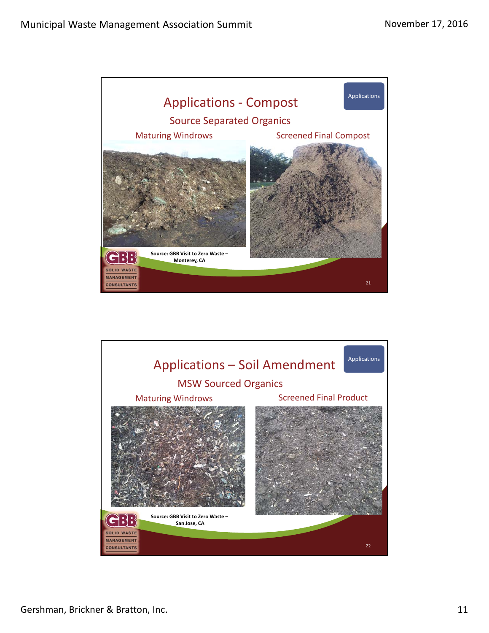

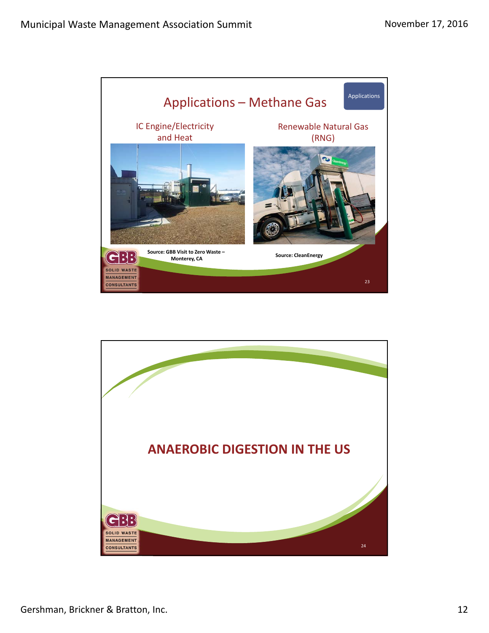

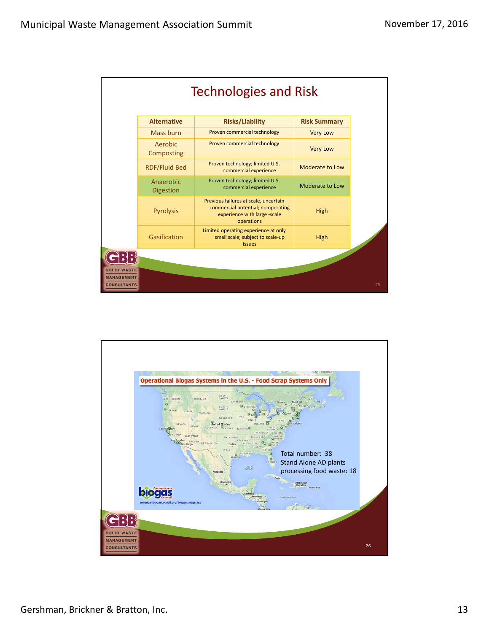

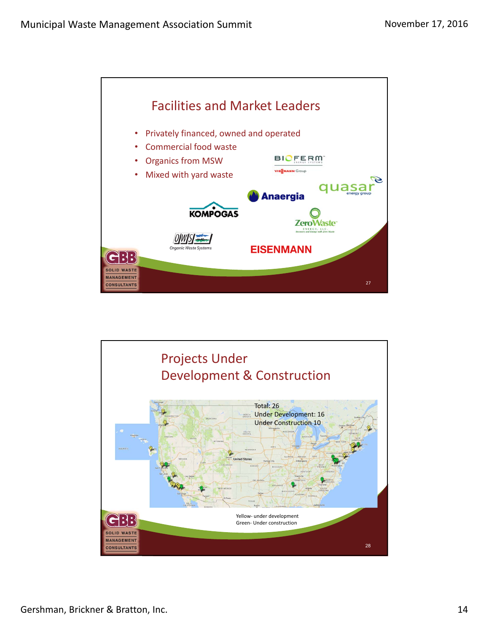

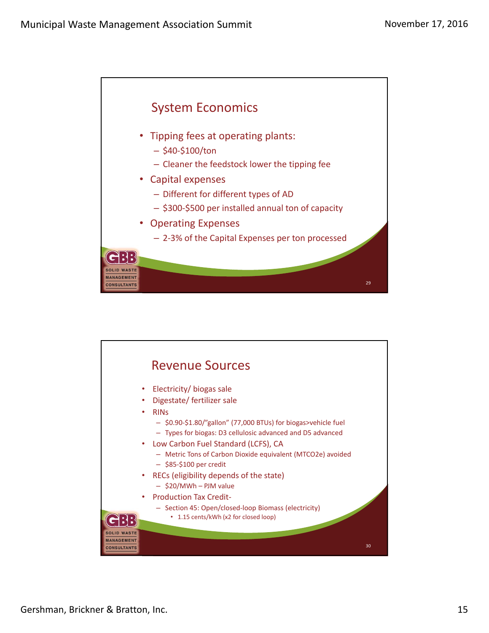

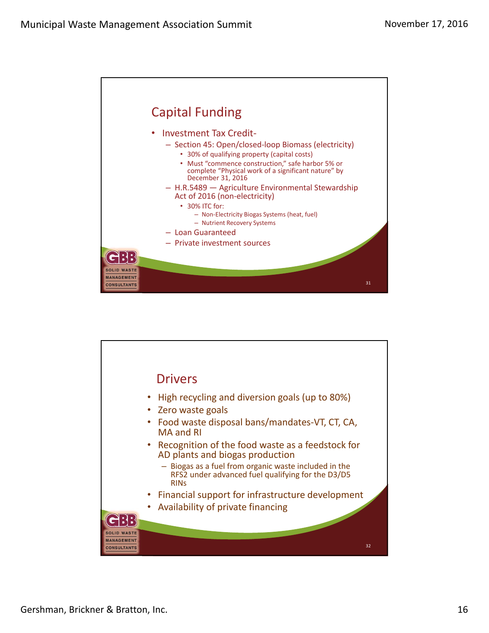